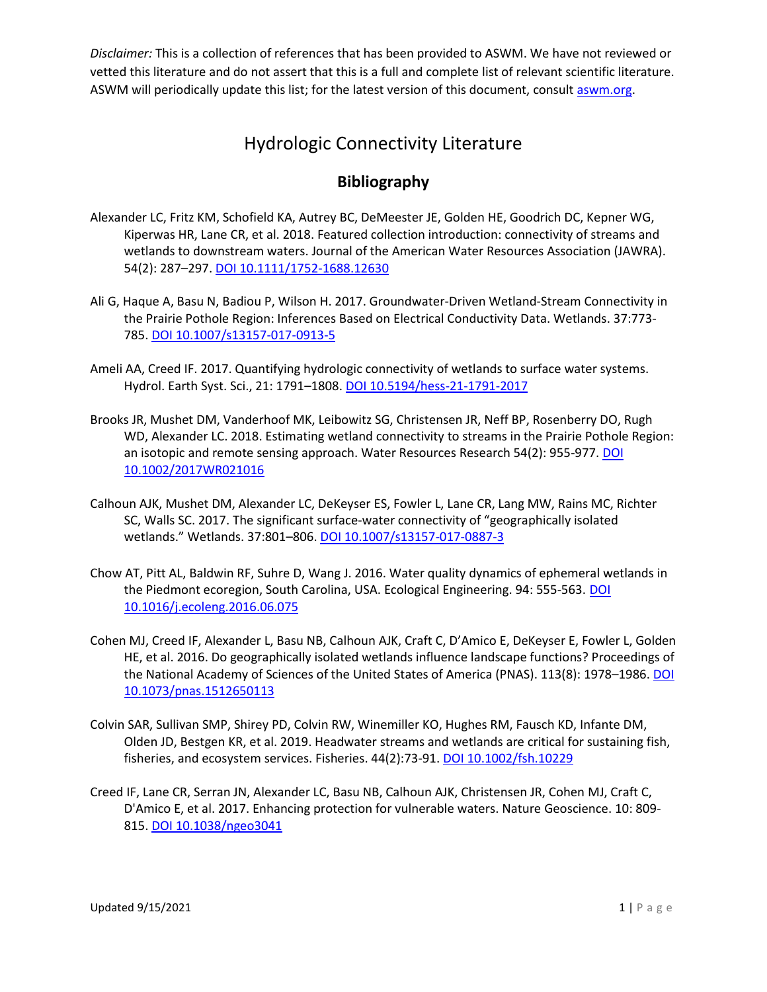*Disclaimer:* This is a collection of references that has been provided to ASWM. We have not reviewed or vetted this literature and do not assert that this is a full and complete list of relevant scientific literature. ASWM will periodically update this list; for the latest version of this document, consul[t aswm.org.](https://aswm.org/wetlands-law/cwa)

## Hydrologic Connectivity Literature

## **Bibliography**

- Alexander LC, Fritz KM, Schofield KA, Autrey BC, DeMeester JE, Golden HE, Goodrich DC, Kepner WG, Kiperwas HR, Lane CR, et al. 2018. Featured collection introduction: connectivity of streams and wetlands to downstream waters. Journal of the American Water Resources Association (JAWRA). 54(2): 287–297. [DOI 10.1111/1752-1688.12630](https://doi.org/10.1111/1752-1688.12630)
- Ali G, Haque A, Basu N, Badiou P, Wilson H. 2017. Groundwater-Driven Wetland-Stream Connectivity in the Prairie Pothole Region: Inferences Based on Electrical Conductivity Data. Wetlands. 37:773- 785. [DOI 10.1007/s13157-017-0913-5](https://aswm2-my.sharepoint.com/personal/audra_aswm_org/Documents/Documents/WOTUS/doi.org/10.1007/s13157-017-0913-5)
- Ameli AA, Creed IF. 2017. Quantifying hydrologic connectivity of wetlands to surface water systems. Hydrol. Earth Syst. Sci., 21: 1791–1808. [DOI 10.5194/hess-21-1791-2017](https://doi.org/10.5194/hess-21-1791-2017)
- Brooks JR, Mushet DM, Vanderhoof MK, Leibowitz SG, Christensen JR, Neff BP, Rosenberry DO, Rugh WD, Alexander LC. 2018. Estimating wetland connectivity to streams in the Prairie Pothole Region: an isotopic and remote sensing approach. Water Resources Research 54(2): 955-977. DOI [10.1002/2017WR021016](https://doi.org/10.1002/2017WR021016)
- Calhoun AJK, Mushet DM, Alexander LC, DeKeyser ES, Fowler L, Lane CR, Lang MW, Rains MC, Richter SC, Walls SC. 2017. The significant surface-water connectivity of "geographically isolated wetlands." Wetlands. 37:801-806[. DOI 10.1007/s13157-017-0887-3](https://link.springer.com/article/10.1007%2Fs13157-017-0887-3)
- Chow AT, Pitt AL, Baldwin RF, Suhre D, Wang J. 2016. Water quality dynamics of ephemeral wetlands in the Piedmont ecoregion, South Carolina, USA. Ecological Engineering. 94: 555-563. DOI [10.1016/j.ecoleng.2016.06.075](https://doi.org/10.1016/j.ecoleng.2016.06.075)
- Cohen MJ, Creed IF, Alexander L, Basu NB, Calhoun AJK, Craft C, D'Amico E, DeKeyser E, Fowler L, Golden HE, et al. 2016. Do geographically isolated wetlands influence landscape functions? Proceedings of the National Academy of Sciences of the United States of America (PNAS). 113(8): 1978-1986. DOI [10.1073/pnas.1512650113](https://doi.org/10.1073/pnas.1512650113)
- Colvin SAR, Sullivan SMP, Shirey PD, Colvin RW, Winemiller KO, Hughes RM, Fausch KD, Infante DM, Olden JD, Bestgen KR, et al. 2019. Headwater streams and wetlands are critical for sustaining fish, fisheries, and ecosystem services. Fisheries. 44(2):73-91. [DOI 10.1002/fsh.10229](https://doi.org/10.1002/fsh.10229)
- Creed IF, Lane CR, Serran JN, Alexander LC, Basu NB, Calhoun AJK, Christensen JR, Cohen MJ, Craft C, D'Amico E, et al. 2017. Enhancing protection for vulnerable waters. Nature Geoscience. 10: 809- 815. [DOI 10.1038/ngeo3041](https://doi.org/10.1038/ngeo3041)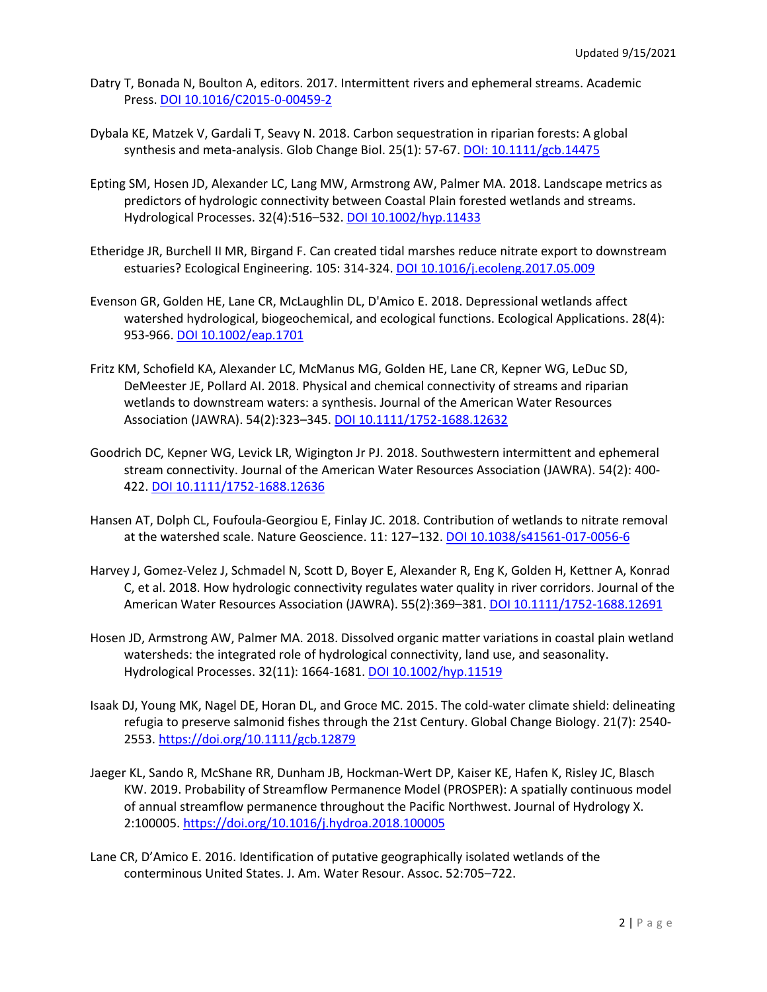- Datry T, Bonada N, Boulton A, editors. 2017. Intermittent rivers and ephemeral streams. Academic Press. [DOI 10.1016/C2015-0-00459-2](https://doi.org/10.1016/C2015-0-00459-2)
- Dybala KE, Matzek V, Gardali T, Seavy N. 2018. Carbon sequestration in riparian forests: A global synthesis and meta-analysis. Glob Change Biol. 25(1): 57-67. [DOI: 10.1111/gcb.14475](https://doi.org/10.1111/gcb.14475)
- Epting SM, Hosen JD, Alexander LC, Lang MW, Armstrong AW, Palmer MA. 2018. Landscape metrics as predictors of hydrologic connectivity between Coastal Plain forested wetlands and streams. Hydrological Processes. 32(4):516–532. [DOI 10.1002/hyp.11433](https://doi.org/10.1002/hyp.11433)
- Etheridge JR, Burchell II MR, Birgand F. Can created tidal marshes reduce nitrate export to downstream estuaries? Ecological Engineering. 105: 314-324. [DOI 10.1016/j.ecoleng.2017.05.009](https://doi.org/10.1016/j.ecoleng.2017.05.009)
- Evenson GR, Golden HE, Lane CR, McLaughlin DL, D'Amico E. 2018. Depressional wetlands affect watershed hydrological, biogeochemical, and ecological functions. Ecological Applications. 28(4): 953-966. [DOI 10.1002/eap.1701](https://doi.org/10.1002/eap.1701)
- Fritz KM, Schofield KA, Alexander LC, McManus MG, Golden HE, Lane CR, Kepner WG, LeDuc SD, DeMeester JE, Pollard AI. 2018. Physical and chemical connectivity of streams and riparian wetlands to downstream waters: a synthesis. Journal of the American Water Resources Association (JAWRA). 54(2):323–345. [DOI 10.1111/1752-1688.12632](https://doi.org/10.1111/1752-1688.12632)
- Goodrich DC, Kepner WG, Levick LR, Wigington Jr PJ. 2018. Southwestern intermittent and ephemeral stream connectivity. Journal of the American Water Resources Association (JAWRA). 54(2): 400- 422. [DOI 10.1111/1752-1688.12636](https://doi.org/10.1111/1752-1688.12636)
- Hansen AT, Dolph CL, Foufoula-Georgiou E, Finlay JC. 2018. Contribution of wetlands to nitrate removal at the watershed scale. [Nature Geoscience.](https://www.nature.com/ngeo) 11: 127–132. [DOI 10.1038/s41561-017-0056-6](https://doi.org/10.1038/s41561-017-0056-6)
- Harvey J, Gomez-Velez J, Schmadel N, Scott D, Boyer E, Alexander R, Eng K, Golden H, Kettner A, Konrad C, et al. 2018. How hydrologic connectivity regulates water quality in river corridors. Journal of the American Water Resources Association (JAWRA). 55(2):369–381. [DOI 10.1111/1752-1688.12691](https://doi.org/10.1111/1752-1688.12691)
- Hosen JD, Armstrong AW, Palmer MA. 2018. Dissolved organic matter variations in coastal plain wetland watersheds: the integrated role of hydrological connectivity, land use, and seasonality. Hydrological Processes. 32(11): 1664-1681. [DOI 10.1002/hyp.11519](https://doi.org/10.1002/hyp.11519)
- Isaak DJ, Young MK, Nagel DE, Horan DL, and Groce MC. 2015. The cold-water climate shield: delineating refugia to preserve salmonid fishes through the 21st Century. Global Change Biology. 21(7): 2540- 2553. <https://doi.org/10.1111/gcb.12879>
- Jaeger KL, Sando R, McShane RR, Dunham JB, Hockman-Wert DP, Kaiser KE, Hafen K, Risley JC, Blasch KW. 2019. Probability of Streamflow Permanence Model (PROSPER): A spatially continuous model of annual streamflow permanence throughout the Pacific Northwest. Journal of Hydrology X. 2:100005.<https://doi.org/10.1016/j.hydroa.2018.100005>
- Lane CR, D'Amico E. 2016. Identification of putative geographically isolated wetlands of the conterminous United States. J. Am. Water Resour. Assoc. 52:705–722.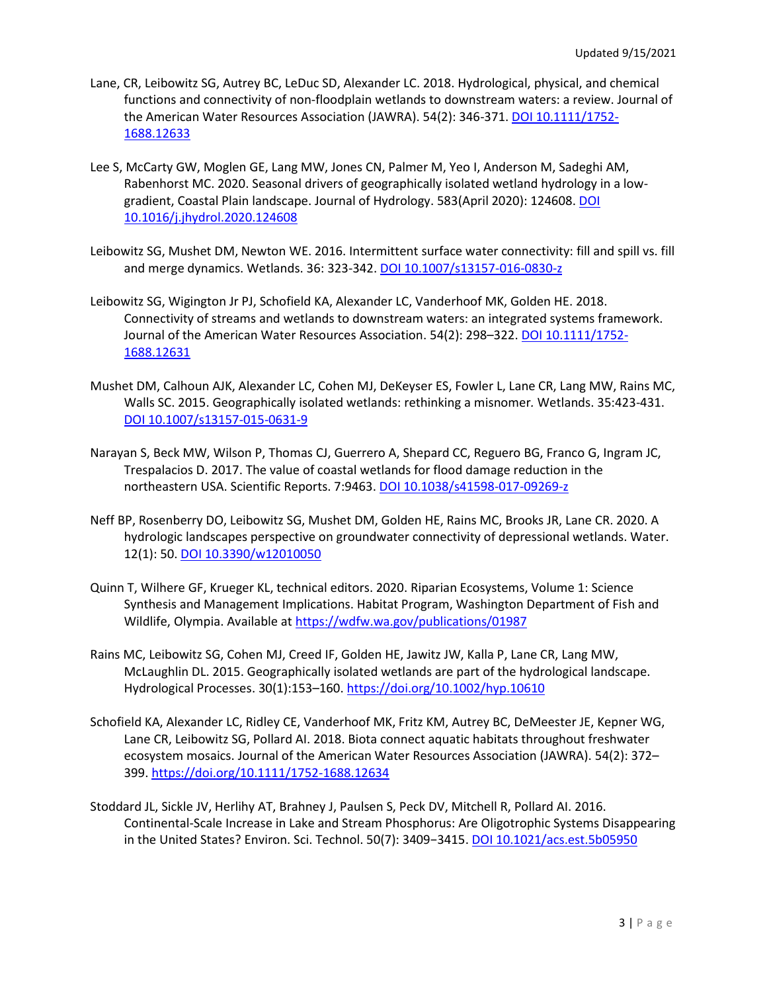- Lane, CR, Leibowitz SG, Autrey BC, LeDuc SD, Alexander LC. 2018. Hydrological, physical, and chemical functions and connectivity of non‐floodplain wetlands to downstream waters: a review. Journal of the American Water Resources Association (JAWRA). 54(2): 346-371[. DOI 10.1111/1752-](https://doi.org/10.1111/1752-1688.12633) [1688.12633](https://doi.org/10.1111/1752-1688.12633)
- Lee S, McCarty GW, Moglen GE, Lang MW, Jones CN, Palmer M, Yeo I, Anderson M, Sadeghi AM, Rabenhorst MC. 2020. Seasonal drivers of geographically isolated wetland hydrology in a lowgradient, Coastal Plain landscape. Journal of Hydrology. 583(April 2020): 124608. [DOI](https://doi.org/10.1016/j.jhydrol.2020.124608)  [10.1016/j.jhydrol.2020.124608](https://doi.org/10.1016/j.jhydrol.2020.124608)
- Leibowitz SG, Mushet DM, Newton WE. 2016. Intermittent surface water connectivity: fill and spill vs. fill and merge dynamics. Wetlands. 36: 323-342[. DOI 10.1007/s13157-016-0830-z](https://doi.org/10.1007/s13157-016-0830-z)
- Leibowitz SG, Wigington Jr PJ, Schofield KA, Alexander LC, Vanderhoof MK, Golden HE. 2018. Connectivity of streams and wetlands to downstream waters: an integrated systems framework. Journal of the American Water Resources Association. 54(2): 298-322. [DOI 10.1111/1752-](https://doi.org/10.1111/1752-1688.12631) [1688.12631](https://doi.org/10.1111/1752-1688.12631)
- Mushet DM, Calhoun AJK, Alexander LC, Cohen MJ, DeKeyser ES, Fowler L, Lane CR, Lang MW, Rains MC, Walls SC. 2015. Geographically isolated wetlands: rethinking a misnomer*.* Wetlands. 35:423-431. [DOI 10.1007/s13157-015-0631-9](https://doi.org/10.1007/s13157-015-0631-9)
- Narayan S, Beck MW, Wilson P, Thomas CJ, Guerrero A, Shepard CC, Reguero BG, Franco G, Ingram JC, Trespalacios D. 2017. The value of coastal wetlands for flood damage reduction in the northeastern USA. Scientific Reports. 7:9463. [DOI 10.1038/s41598-017-09269-z](https://aswm2-my.sharepoint.com/personal/audra_aswm_org/Documents/Documents/WOTUS/doi.org/10.1038/s41598-017-09269-z)
- Neff BP, Rosenberry DO, Leibowitz SG, Mushet DM, Golden HE, Rains MC, Brooks JR, Lane CR. 2020. A hydrologic landscapes perspective on groundwater connectivity of depressional wetlands. Water. 12(1): 50. [DOI 10.3390/w12010050](https://doi.org/10.3390/w12010050)
- Quinn T, Wilhere GF, Krueger KL, technical editors. 2020. Riparian Ecosystems, Volume 1: Science Synthesis and Management Implications. Habitat Program, Washington Department of Fish and Wildlife, Olympia. Available at [https://wdfw.wa.gov/publications/01987](https://urldefense.proofpoint.com/v2/url?u=https-3A__wdfw.wa.gov_publications_01987&d=DwMFAg&c=euGZstcaTDllvimEN8b7jXrwqOf-v5A_CdpgnVfiiMM&r=oaOTbG880AaVAepH0ChEoA&m=lck3QpsIK2KI18sV22lslqdsxp6PAwZDWLDOuUpPUAw&s=FhMi_4xt54COh_6MKPsHENCyepAyUHGEIxezsLUz0Vc&e=)
- Rains MC, Leibowitz SG, Cohen MJ, Creed IF, Golden HE, Jawitz JW, Kalla P, Lane CR, Lang MW, McLaughlin DL. 2015. Geographically isolated wetlands are part of the hydrological landscape. Hydrological Processes. 30(1):153–160. <https://doi.org/10.1002/hyp.10610>
- Schofield KA, Alexander LC, Ridley CE, Vanderhoof MK, Fritz KM, Autrey BC, DeMeester JE, Kepner WG, Lane CR, Leibowitz SG, Pollard AI. 2018. Biota connect aquatic habitats throughout freshwater ecosystem mosaics. Journal of the American Water Resources Association (JAWRA). 54(2): 372– 399. <https://doi.org/10.1111/1752-1688.12634>
- Stoddard JL, Sickle JV, Herlihy AT, Brahney J, Paulsen S, Peck DV, Mitchell R, Pollard AI. 2016. Continental-Scale Increase in Lake and Stream Phosphorus: Are Oligotrophic Systems Disappearing in the United States? Environ. Sci. Technol. 50(7): 3409−3415[. DOI 10.1021/acs.est.5b05950](https://doi.org/10.1021/acs.est.5b05950)